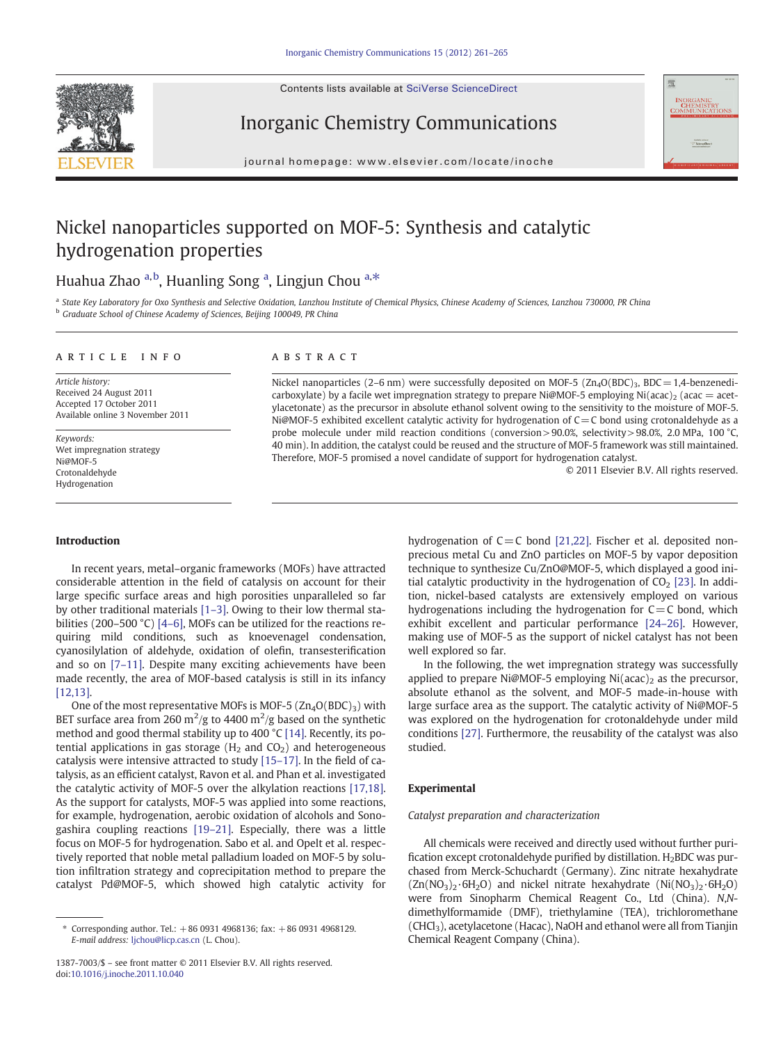Contents lists available at SciVerse ScienceDirect







journal homepage: www.elsevier.com/locate/inoche

# Nickel nanoparticles supported on MOF-5: Synthesis and catalytic hydrogenation properties

## Huahua Zhao <sup>a,b</sup>, Huanling Song <sup>a</sup>, Lingjun Chou <sup>a,\*</sup>

<sup>a</sup> State Key Laboratory for Oxo Synthesis and Selective Oxidation, Lanzhou Institute of Chemical Physics, Chinese Academy of Sciences, Lanzhou 730000, PR China b Graduate School of Chinese Academy of Sciences, Beijing 100049, PR China

#### article info abstract

Article history: Received 24 August 2011 Accepted 17 October 2011 Available online 3 November 2011

Keywords: Wet impregnation strategy Ni@MOF-5 Crotonaldehyde Hydrogenation

Nickel nanoparticles (2–6 nm) were successfully deposited on MOF-5 ( $Zn<sub>4</sub>O(BDC)3$ , BDC = 1,4-benzenedicarboxylate) by a facile wet impregnation strategy to prepare Ni@MOF-5 employing Ni(acac)<sub>2</sub> (acac = acetylacetonate) as the precursor in absolute ethanol solvent owing to the sensitivity to the moisture of MOF-5. Ni@MOF-5 exhibited excellent catalytic activity for hydrogenation of C=C bond using crotonaldehyde as a probe molecule under mild reaction conditions (conversion> 90.0%, selectivity > 98.0%, 2.0 MPa, 100 °C, 40 min). In addition, the catalyst could be reused and the structure of MOF-5 framework was still maintained. Therefore, MOF-5 promised a novel candidate of support for hydrogenation catalyst.

© 2011 Elsevier B.V. All rights reserved.

#### Introduction

In recent years, metal–organic frameworks (MOFs) have attracted considerable attention in the field of catalysis on account for their large specific surface areas and high porosities unparalleled so far by other traditional materials [1–[3\]](#page-3-0). Owing to their low thermal sta-bilities (200–500 °C) [\[4](#page-3-0)–6], MOFs can be utilized for the reactions requiring mild conditions, such as knoevenagel condensation, cyanosilylation of aldehyde, oxidation of olefin, transesterification and so on [7–[11\]](#page-3-0). Despite many exciting achievements have been made recently, the area of MOF-based catalysis is still in its infancy [\[12,13\]](#page-3-0).

One of the most representative MOFs is MOF-5  $(Zn<sub>4</sub>O(BDC)<sub>3</sub>)$  with BET surface area from 260 m<sup>2</sup>/g to 4400 m<sup>2</sup>/g based on the synthetic method and good thermal stability up to 400 °C [\[14\].](#page-3-0) Recently, its potential applications in gas storage ( $H_2$  and  $CO_2$ ) and heterogeneous catalysis were intensive attracted to study [15–[17\].](#page-4-0) In the field of catalysis, as an efficient catalyst, Ravon et al. and Phan et al. investigated the catalytic activity of MOF-5 over the alkylation reactions [\[17,18\].](#page-4-0) As the support for catalysts, MOF-5 was applied into some reactions, for example, hydrogenation, aerobic oxidation of alcohols and Sonogashira coupling reactions [19–[21\].](#page-4-0) Especially, there was a little focus on MOF-5 for hydrogenation. Sabo et al. and Opelt et al. respectively reported that noble metal palladium loaded on MOF-5 by solution infiltration strategy and coprecipitation method to prepare the catalyst Pd@MOF-5, which showed high catalytic activity for

hydrogenation of  $C=C$  bond [\[21,22\]](#page-4-0). Fischer et al. deposited nonprecious metal Cu and ZnO particles on MOF-5 by vapor deposition technique to synthesize Cu/ZnO@MOF-5, which displayed a good initial catalytic productivity in the hydrogenation of  $CO<sub>2</sub>$  [\[23\].](#page-4-0) In addition, nickel-based catalysts are extensively employed on various hydrogenations including the hydrogenation for  $C=C$  bond, which exhibit excellent and particular performance [24–[26\].](#page-4-0) However, making use of MOF-5 as the support of nickel catalyst has not been well explored so far.

In the following, the wet impregnation strategy was successfully applied to prepare Ni@MOF-5 employing Ni $(\text{acac})_2$  as the precursor, absolute ethanol as the solvent, and MOF-5 made-in-house with large surface area as the support. The catalytic activity of Ni@MOF-5 was explored on the hydrogenation for crotonaldehyde under mild conditions [\[27\].](#page-4-0) Furthermore, the reusability of the catalyst was also studied.

#### Experimental

#### Catalyst preparation and characterization

All chemicals were received and directly used without further purification except crotonaldehyde purified by distillation.  $H_2$ BDC was purchased from Merck-Schuchardt (Germany). Zinc nitrate hexahydrate  $(Zn(NO<sub>3</sub>)<sub>2</sub>·6H<sub>2</sub>O)$  and nickel nitrate hexahydrate  $(Ni(NO<sub>3</sub>)<sub>2</sub>·6H<sub>2</sub>O)$ were from Sinopharm Chemical Reagent Co., Ltd (China). N,Ndimethylformamide (DMF), triethylamine (TEA), trichloromethane (CHCl<sub>3</sub>), acetylacetone (Hacac), NaOH and ethanol were all from Tianjin Chemical Reagent Company (China).

<sup>⁎</sup> Corresponding author. Tel.: +86 0931 4968136; fax: +86 0931 4968129. E-mail address: [ljchou@licp.cas.cn](mailto:ljchou@licp.cas.cn) (L. Chou).

<sup>1387-7003/\$</sup> – see front matter © 2011 Elsevier B.V. All rights reserved. doi:[10.1016/j.inoche.2011.10.040](http://dx.doi.org/10.1016/j.inoche.2011.10.040)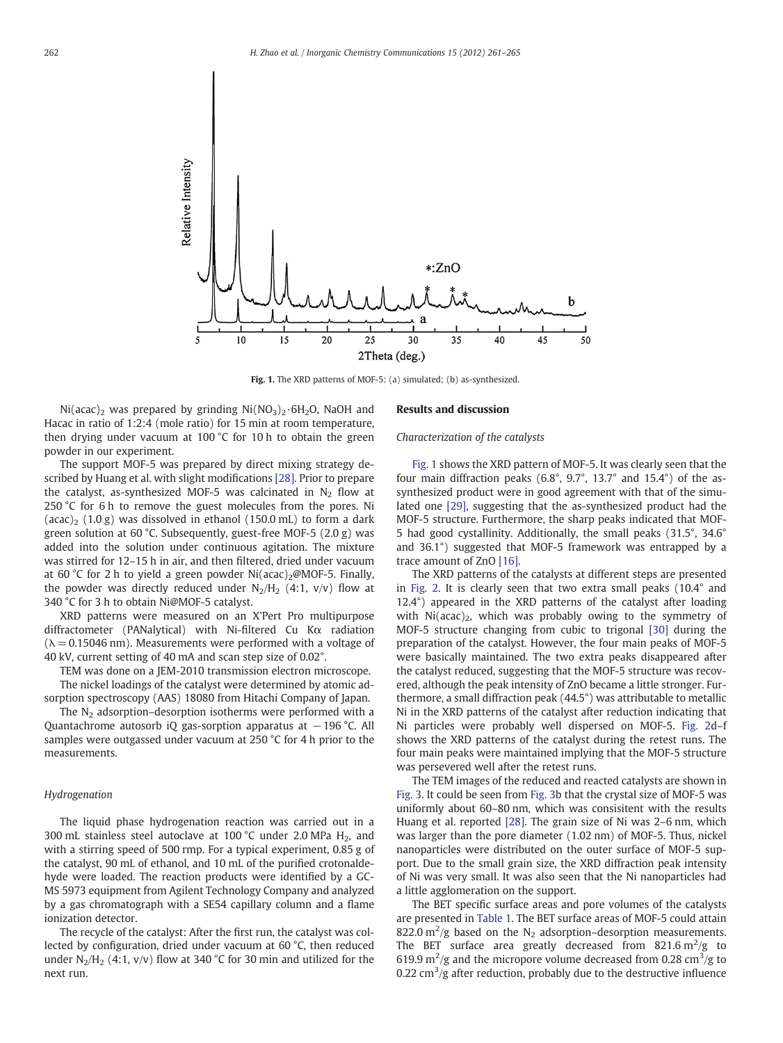

Fig. 1. The XRD patterns of MOF-5: (a) simulated; (b) as-synthesized.

Ni(acac)<sub>2</sub> was prepared by grinding Ni(NO<sub>3</sub>)<sub>2</sub>·6H<sub>2</sub>O, NaOH and Hacac in ratio of 1:2:4 (mole ratio) for 15 min at room temperature, then drying under vacuum at 100 °C for 10 h to obtain the green powder in our experiment.

The support MOF-5 was prepared by direct mixing strategy described by Huang et al. with slight modifications [\[28\].](#page-4-0) Prior to prepare the catalyst, as-synthesized MOF-5 was calcinated in  $N_2$  flow at 250 °C for 6 h to remove the guest molecules from the pores. Ni  $(\text{acac})_2$  (1.0 g) was dissolved in ethanol (150.0 mL) to form a dark green solution at 60 °C. Subsequently, guest-free MOF-5 (2.0 g) was added into the solution under continuous agitation. The mixture was stirred for 12–15 h in air, and then filtered, dried under vacuum at 60 °C for 2 h to yield a green powder Ni(acac)<sub>2</sub>@MOF-5. Finally, the powder was directly reduced under  $N_2/H_2$  (4:1, v/v) flow at 340 °C for 3 h to obtain Ni@MOF-5 catalyst.

XRD patterns were measured on an X'Pert Pro multipurpose diffractometer (PANalytical) with Ni-filtered Cu Kα radiation  $(\lambda = 0.15046$  nm). Measurements were performed with a voltage of 40 kV, current setting of 40 mA and scan step size of 0.02°.

TEM was done on a JEM-2010 transmission electron microscope. The nickel loadings of the catalyst were determined by atomic adsorption spectroscopy (AAS) 18080 from Hitachi Company of Japan.

The  $N<sub>2</sub>$  adsorption–desorption isotherms were performed with a Quantachrome autosorb iQ gas-sorption apparatus at −196 °C. All samples were outgassed under vacuum at 250 °C for 4 h prior to the measurements.

#### Hydrogenation

The liquid phase hydrogenation reaction was carried out in a 300 mL stainless steel autoclave at 100 °C under 2.0 MPa  $H_2$ , and with a stirring speed of 500 rmp. For a typical experiment, 0.85 g of the catalyst, 90 mL of ethanol, and 10 mL of the purified crotonaldehyde were loaded. The reaction products were identified by a GC-MS 5973 equipment from Agilent Technology Company and analyzed by a gas chromatograph with a SE54 capillary column and a flame ionization detector.

The recycle of the catalyst: After the first run, the catalyst was collected by configuration, dried under vacuum at 60 °C, then reduced under  $N_2/H_2$  (4:1, v/v) flow at 340 °C for 30 min and utilized for the next run.

#### Results and discussion

#### Characterization of the catalysts

Fig. 1 shows the XRD pattern of MOF-5. It was clearly seen that the four main diffraction peaks (6.8°, 9.7°, 13.7° and 15.4°) of the assynthesized product were in good agreement with that of the simulated one [\[29\],](#page-4-0) suggesting that the as-synthesized product had the MOF-5 structure. Furthermore, the sharp peaks indicated that MOF-5 had good cystallinity. Additionally, the small peaks (31.5°, 34.6° and 36.1°) suggested that MOF-5 framework was entrapped by a trace amount of ZnO [\[16\]](#page-4-0).

The XRD patterns of the catalysts at different steps are presented in [Fig. 2](#page-2-0). It is clearly seen that two extra small peaks (10.4° and 12.4°) appeared in the XRD patterns of the catalyst after loading with  $Ni (acac)_2$ , which was probably owing to the symmetry of MOF-5 structure changing from cubic to trigonal [\[30\]](#page-4-0) during the preparation of the catalyst. However, the four main peaks of MOF-5 were basically maintained. The two extra peaks disappeared after the catalyst reduced, suggesting that the MOF-5 structure was recovered, although the peak intensity of ZnO became a little stronger. Furthermore, a small diffraction peak (44.5°) was attributable to metallic Ni in the XRD patterns of the catalyst after reduction indicating that Ni particles were probably well dispersed on MOF-5. [Fig. 2d](#page-2-0)–f shows the XRD patterns of the catalyst during the retest runs. The four main peaks were maintained implying that the MOF-5 structure was persevered well after the retest runs.

The TEM images of the reduced and reacted catalysts are shown in [Fig. 3.](#page-2-0) It could be seen from [Fig. 3b](#page-2-0) that the crystal size of MOF-5 was uniformly about 60–80 nm, which was consisitent with the results Huang et al. reported [\[28\]](#page-4-0). The grain size of Ni was 2–6 nm, which was larger than the pore diameter (1.02 nm) of MOF-5. Thus, nickel nanoparticles were distributed on the outer surface of MOF-5 support. Due to the small grain size, the XRD diffraction peak intensity of Ni was very small. It was also seen that the Ni nanoparticles had a little agglomeration on the support.

The BET specific surface areas and pore volumes of the catalysts are presented in [Table 1](#page-2-0). The BET surface areas of MOF-5 could attain 822.0  $\text{m}^2/\text{g}$  based on the N<sub>2</sub> adsorption–desorption measurements. The BET surface area greatly decreased from 821.6  $m^2/g$  to 619.9  $\mathrm{m}^2/\mathrm{g}$  and the micropore volume decreased from 0.28 cm<sup>3</sup>/g to 0.22  $\text{cm}^3/\text{g}$  after reduction, probably due to the destructive influence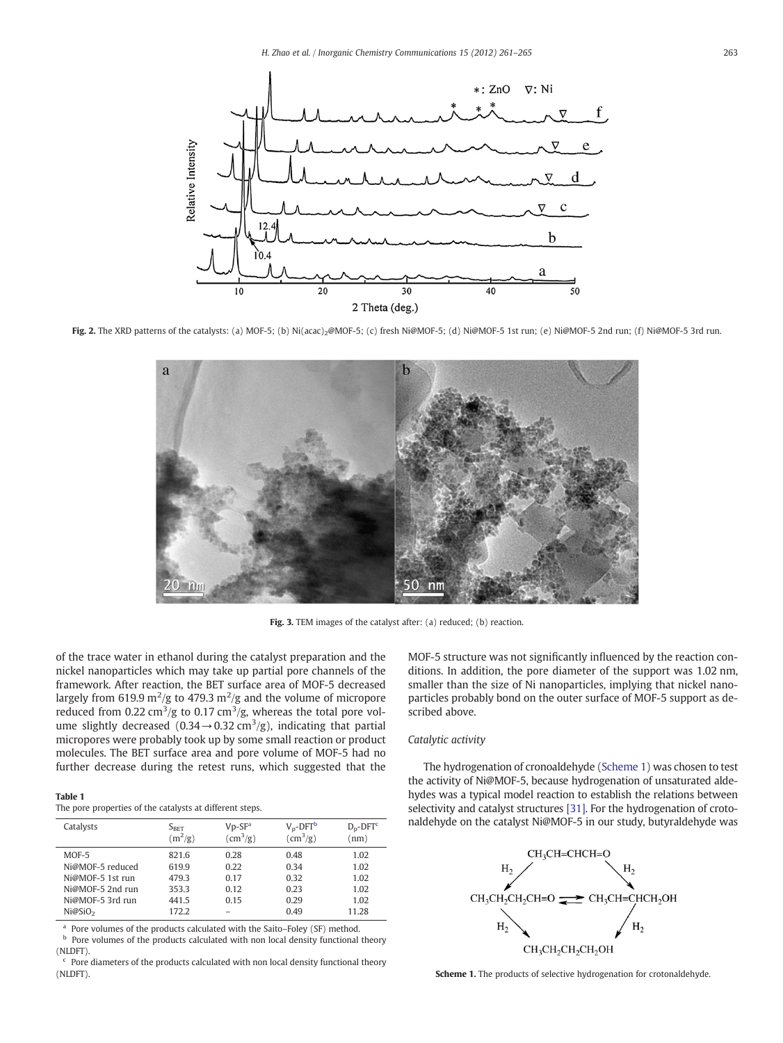<span id="page-2-0"></span>

Fig. 2. The XRD patterns of the catalysts: (a) MOF-5; (b) Ni(acac)<sub>2</sub>@MOF-5; (c) fresh Ni@MOF-5; (d) Ni@MOF-5 1st run; (e) Ni@MOF-5 2nd run; (f) Ni@MOF-5 3rd run.



Fig. 3. TEM images of the catalyst after: (a) reduced; (b) reaction.

of the trace water in ethanol during the catalyst preparation and the nickel nanoparticles which may take up partial pore channels of the framework. After reaction, the BET surface area of MOF-5 decreased largely from 619.9 m<sup>2</sup>/g to 479.3 m<sup>2</sup>/g and the volume of micropore reduced from 0.22 cm<sup>3</sup>/g to 0.17 cm<sup>3</sup>/g, whereas the total pore volume slightly decreased (0.34 $\rightarrow$  0.32 cm<sup>3</sup>/g), indicating that partial micropores were probably took up by some small reaction or product molecules. The BET surface area and pore volume of MOF-5 had no further decrease during the retest runs, which suggested that the

#### Table 1

The pore properties of the catalysts at different steps.

| Catalysts           | $S_{\text{BET}}$<br>$(m^2/g)$ | $Vp-SFa$<br>$\rm (cm^3/g)$ | $V_p$ -DFT <sup>b</sup><br>$\rm (cm^3/g)$ | $D_p$ -DFT $c$<br>(nm) |
|---------------------|-------------------------------|----------------------------|-------------------------------------------|------------------------|
| $MOF-5$             | 821.6                         | 0.28                       | 0.48                                      | 1.02                   |
| Ni@MOF-5 reduced    | 619.9                         | 0.22                       | 0.34                                      | 1.02                   |
| Ni@MOF-5 1st run    | 479.3                         | 0.17                       | 0.32                                      | 1.02                   |
| Ni@MOF-5 2nd run    | 353.3                         | 0.12                       | 0.23                                      | 1.02                   |
| Ni@MOF-5 3rd run    | 441.5                         | 0.15                       | 0.29                                      | 1.02                   |
| Ni@SiO <sub>2</sub> | 172.2                         |                            | 0.49                                      | 11.28                  |

<sup>a</sup> Pore volumes of the products calculated with the Saito–Foley (SF) method.<br><sup>b</sup> Pers volumes of the products calculated with non-local density functional

Pore volumes of the products calculated with non local density functional theory (NLDFT).

 $\,^{\rm c}$  Pore diameters of the products calculated with non local density functional theory (NLDFT).

MOF-5 structure was not significantly influenced by the reaction conditions. In addition, the pore diameter of the support was 1.02 nm, smaller than the size of Ni nanoparticles, implying that nickel nanoparticles probably bond on the outer surface of MOF-5 support as described above.

#### Catalytic activity

The hydrogenation of cronoaldehyde (Scheme 1) was chosen to test the activity of Ni@MOF-5, because hydrogenation of unsaturated aldehydes was a typical model reaction to establish the relations between selectivity and catalyst structures [\[31\]](#page-4-0). For the hydrogenation of crotonaldehyde on the catalyst Ni@MOF-5 in our study, butyraldehyde was

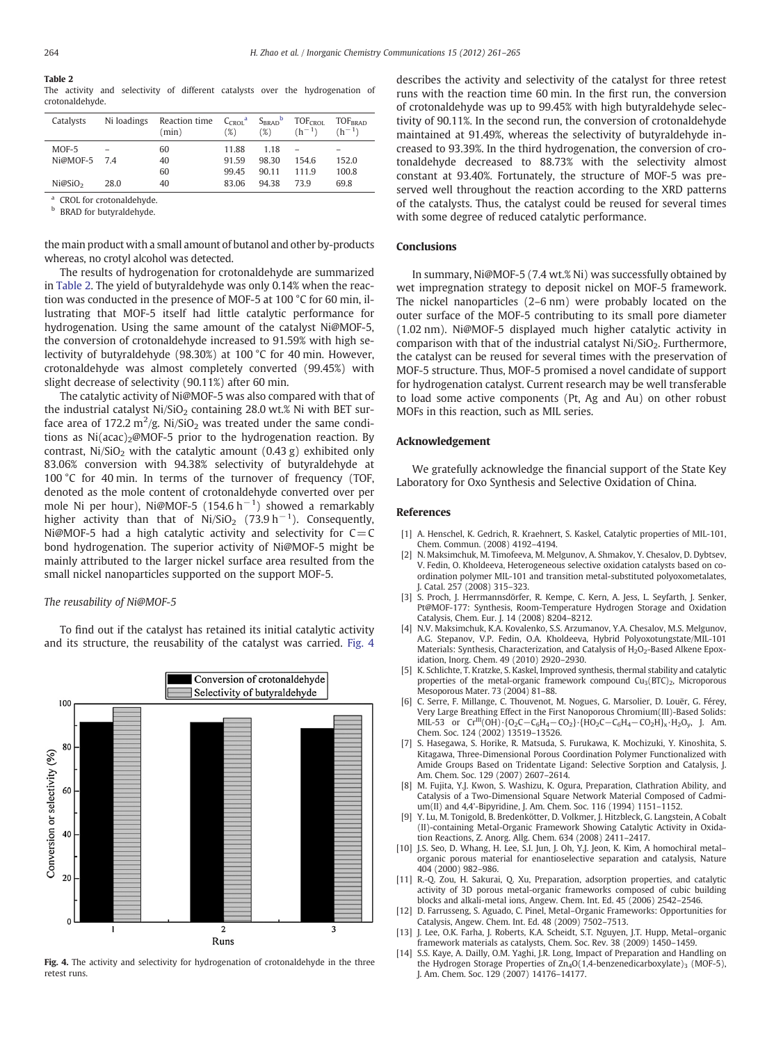## <span id="page-3-0"></span>Table 2

The activity and selectivity of different catalysts over the hydrogenation of crotonaldehyde.

| Catalysts           | Ni loadings | Reaction time<br>(min) | $C_{CROI}^a$<br>(%) | $S_{BRAD}$<br>(%) | TOF <sub>CFOI</sub><br>$(h^{-1})$ | TOF <sub>RRAD</sub><br>$(h^{-1})$ |
|---------------------|-------------|------------------------|---------------------|-------------------|-----------------------------------|-----------------------------------|
| $MOF-5$             |             | 60                     | 11.88               | 1 1 8             |                                   |                                   |
| Ni@MOF-5 7.4        |             | 40                     | 91.59               | 98.30             | 154.6                             | 152.0                             |
|                     |             | 60                     | 99.45               | 90.11             | 1119                              | 100.8                             |
| Ni@SiO <sub>2</sub> | 28.0        | 40                     | 83.06               | 9438              | 739                               | 69.8                              |

CROL for crotonaldehyde.

**b** BRAD for butyraldehyde.

the main product with a small amount of butanol and other by-products whereas, no crotyl alcohol was detected.

The results of hydrogenation for crotonaldehyde are summarized in Table 2. The yield of butyraldehyde was only 0.14% when the reaction was conducted in the presence of MOF-5 at 100 °C for 60 min, illustrating that MOF-5 itself had little catalytic performance for hydrogenation. Using the same amount of the catalyst Ni@MOF-5, the conversion of crotonaldehyde increased to 91.59% with high selectivity of butyraldehyde (98.30%) at 100 °C for 40 min. However, crotonaldehyde was almost completely converted (99.45%) with slight decrease of selectivity (90.11%) after 60 min.

The catalytic activity of Ni@MOF-5 was also compared with that of the industrial catalyst  $Ni/SiO<sub>2</sub>$  containing 28.0 wt.% Ni with BET surface area of 172.2  $m^2/g$ . Ni/SiO<sub>2</sub> was treated under the same conditions as  $Ni (acac)_2@MOF-5$  prior to the hydrogenation reaction. By contrast,  $Ni/SiO<sub>2</sub>$  with the catalytic amount (0.43 g) exhibited only 83.06% conversion with 94.38% selectivity of butyraldehyde at 100 °C for 40 min. In terms of the turnover of frequency (TOF, denoted as the mole content of crotonaldehyde converted over per mole Ni per hour), Ni@MOF-5 (154.6  $h^{-1}$ ) showed a remarkably higher activity than that of Ni/SiO<sub>2</sub> (73.9 h<sup>-1</sup>). Consequently, Ni@MOF-5 had a high catalytic activity and selectivity for  $C = C$ bond hydrogenation. The superior activity of Ni@MOF-5 might be mainly attributed to the larger nickel surface area resulted from the small nickel nanoparticles supported on the support MOF-5.

#### The reusability of Ni@MOF-5

To find out if the catalyst has retained its initial catalytic activity and its structure, the reusability of the catalyst was carried. Fig. 4



Fig. 4. The activity and selectivity for hydrogenation of crotonaldehyde in the three retest runs.

describes the activity and selectivity of the catalyst for three retest runs with the reaction time 60 min. In the first run, the conversion of crotonaldehyde was up to 99.45% with high butyraldehyde selectivity of 90.11%. In the second run, the conversion of crotonaldehyde maintained at 91.49%, whereas the selectivity of butyraldehyde increased to 93.39%. In the third hydrogenation, the conversion of crotonaldehyde decreased to 88.73% with the selectivity almost constant at 93.40%. Fortunately, the structure of MOF-5 was preserved well throughout the reaction according to the XRD patterns of the catalysts. Thus, the catalyst could be reused for several times with some degree of reduced catalytic performance.

#### **Conclusions**

In summary, Ni@MOF-5 (7.4 wt.% Ni) was successfully obtained by wet impregnation strategy to deposit nickel on MOF-5 framework. The nickel nanoparticles (2–6 nm) were probably located on the outer surface of the MOF-5 contributing to its small pore diameter (1.02 nm). Ni@MOF-5 displayed much higher catalytic activity in comparison with that of the industrial catalyst  $Ni/SiO<sub>2</sub>$ . Furthermore, the catalyst can be reused for several times with the preservation of MOF-5 structure. Thus, MOF-5 promised a novel candidate of support for hydrogenation catalyst. Current research may be well transferable to load some active components (Pt, Ag and Au) on other robust MOFs in this reaction, such as MIL series.

#### Acknowledgement

We gratefully acknowledge the financial support of the State Key Laboratory for Oxo Synthesis and Selective Oxidation of China.

### References

- [1] A. Henschel, K. Gedrich, R. Kraehnert, S. Kaskel, Catalytic properties of MIL-101, Chem. Commun. (2008) 4192–4194.
- [2] N. Maksimchuk, M. Timofeeva, M. Melgunov, A. Shmakov, Y. Chesalov, D. Dybtsev, V. Fedin, O. Kholdeeva, Heterogeneous selective oxidation catalysts based on coordination polymer MIL-101 and transition metal-substituted polyoxometalates, J. Catal. 257 (2008) 315–323.
- [3] S. Proch, J. Herrmannsdörfer, R. Kempe, C. Kern, A. Jess, L. Seyfarth, J. Senker, Pt@MOF-177: Synthesis, Room-Temperature Hydrogen Storage and Oxidation Catalysis, Chem. Eur. J. 14 (2008) 8204–8212.
- [4] N.V. Maksimchuk, K.A. Kovalenko, S.S. Arzumanov, Y.A. Chesalov, M.S. Melgunov, A.G. Stepanov, V.P. Fedin, O.A. Kholdeeva, Hybrid Polyoxotungstate/MIL-101 Materials: Synthesis, Characterization, and Catalysis of H<sub>2</sub>O<sub>2</sub>-Based Alkene Epoxidation, Inorg. Chem. 49 (2010) 2920–2930.
- [5] K. Schlichte, T. Kratzke, S. Kaskel, Improved synthesis, thermal stability and catalytic properties of the metal-organic framework compound  $Cu<sub>3</sub>(BTC)<sub>2</sub>$ , Microporous Mesoporous Mater. 73 (2004) 81–88.
- [6] C. Serre, F. Millange, C. Thouvenot, M. Nogues, G. Marsolier, D. Louër, G. Férey, Very Large Breathing Effect in the First Nanoporous Chromium(III)-Based Solids: MIL-53 or  $Cr^{III}(OH)$  {O<sub>2</sub>C-C<sub>6</sub>H<sub>4</sub>-CO<sub>2</sub>} {HO<sub>2</sub>C-C<sub>6</sub>H<sub>4</sub>-CO<sub>2</sub>H<sub>)x</sub> · H<sub>2</sub>O<sub>y</sub>, J. Am. Chem. Soc. 124 (2002) 13519–13526.
- [7] S. Hasegawa, S. Horike, R. Matsuda, S. Furukawa, K. Mochizuki, Y. Kinoshita, S. Kitagawa, Three-Dimensional Porous Coordination Polymer Functionalized with Amide Groups Based on Tridentate Ligand: Selective Sorption and Catalysis, J. Am. Chem. Soc. 129 (2007) 2607–2614.
- [8] M. Fujita, Y.J. Kwon, S. Washizu, K. Ogura, Preparation, Clathration Ability, and Catalysis of a Two-Dimensional Square Network Material Composed of Cadmium(II) and 4,4'-Bipyridine, J. Am. Chem. Soc. 116 (1994) 1151–1152.
- [9] Y. Lu, M. Tonigold, B. Bredenkötter, D. Volkmer, J. Hitzbleck, G. Langstein, A Cobalt (II)-containing Metal-Organic Framework Showing Catalytic Activity in Oxidation Reactions, Z. Anorg. Allg. Chem. 634 (2008) 2411–2417.
- [10] J.S. Seo, D. Whang, H. Lee, S.I. Jun, J. Oh, Y.J. Jeon, K. Kim, A homochiral metal– organic porous material for enantioselective separation and catalysis, Nature 404 (2000) 982–986.
- [11] R.-Q. Zou, H. Sakurai, Q. Xu, Preparation, adsorption properties, and catalytic activity of 3D porous metal-organic frameworks composed of cubic building blocks and alkali-metal ions, Angew. Chem. Int. Ed. 45 (2006) 2542–2546.
- [12] D. Farrusseng, S. Aguado, C. Pinel, Metal–Organic Frameworks: Opportunities for Catalysis, Angew. Chem. Int. Ed. 48 (2009) 7502–7513.
- [13] J. Lee, O.K. Farha, J. Roberts, K.A. Scheidt, S.T. Nguyen, J.T. Hupp, Metal-organic framework materials as catalysts, Chem. Soc. Rev. 38 (2009) 1450–1459.
- [14] S.S. Kaye, A. Dailly, O.M. Yaghi, J.R. Long, Impact of Preparation and Handling on the Hydrogen Storage Properties of  $Zn_4O(1,4$ -benzenedicarboxylate)<sub>3</sub> (MOF-5), J. Am. Chem. Soc. 129 (2007) 14176–14177.